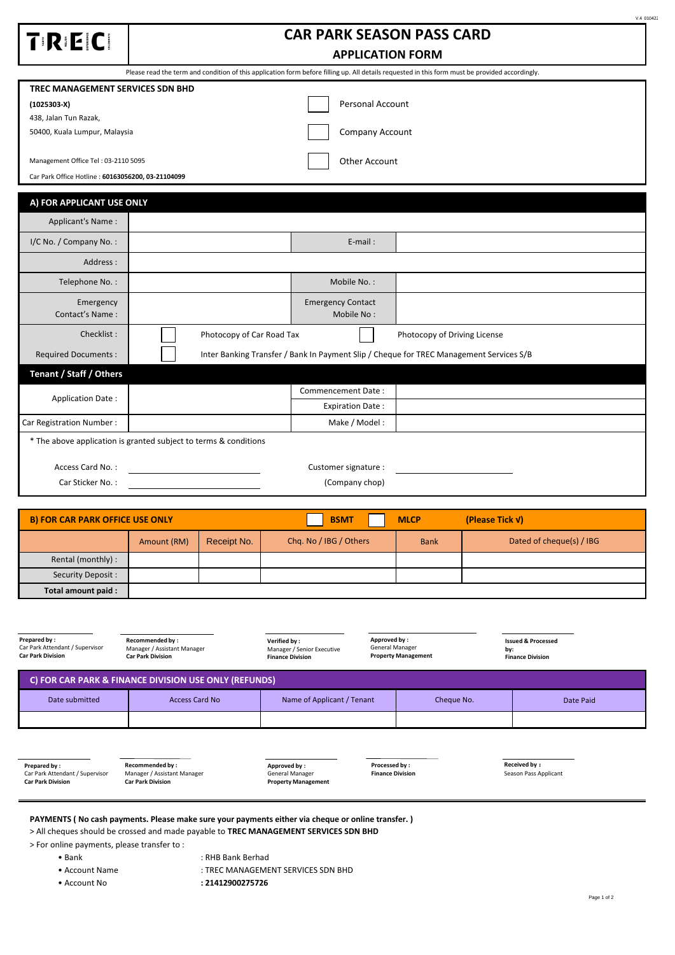| TRECI                                                                                                                                           | <b>CAR PARK SEASON PASS CARD</b>                                                        |  |  |  |  |  |  |  |
|-------------------------------------------------------------------------------------------------------------------------------------------------|-----------------------------------------------------------------------------------------|--|--|--|--|--|--|--|
|                                                                                                                                                 | <b>APPLICATION FORM</b>                                                                 |  |  |  |  |  |  |  |
| Please read the term and condition of this application form before filling up. All details requested in this form must be provided accordingly. |                                                                                         |  |  |  |  |  |  |  |
|                                                                                                                                                 | TREC MANAGEMENT SERVICES SDN BHD                                                        |  |  |  |  |  |  |  |
| $(1025303-X)$                                                                                                                                   | <b>Personal Account</b>                                                                 |  |  |  |  |  |  |  |
| 438, Jalan Tun Razak,                                                                                                                           |                                                                                         |  |  |  |  |  |  |  |
| 50400, Kuala Lumpur, Malaysia                                                                                                                   | Company Account                                                                         |  |  |  |  |  |  |  |
| Management Office Tel: 03-2110 5095                                                                                                             | <b>Other Account</b>                                                                    |  |  |  |  |  |  |  |
| Car Park Office Hotline: 60163056200, 03-21104099                                                                                               |                                                                                         |  |  |  |  |  |  |  |
| A) FOR APPLICANT USE ONLY                                                                                                                       |                                                                                         |  |  |  |  |  |  |  |
| Applicant's Name:                                                                                                                               |                                                                                         |  |  |  |  |  |  |  |
| I/C No. / Company No.:                                                                                                                          | $E$ -mail:                                                                              |  |  |  |  |  |  |  |
| Address:                                                                                                                                        |                                                                                         |  |  |  |  |  |  |  |
| Telephone No.:                                                                                                                                  | Mobile No.:                                                                             |  |  |  |  |  |  |  |
| Emergency                                                                                                                                       | <b>Emergency Contact</b>                                                                |  |  |  |  |  |  |  |
| Contact's Name:                                                                                                                                 | Mobile No:                                                                              |  |  |  |  |  |  |  |
| Checklist:                                                                                                                                      | Photocopy of Car Road Tax<br>Photocopy of Driving License                               |  |  |  |  |  |  |  |
| <b>Required Documents:</b>                                                                                                                      | Inter Banking Transfer / Bank In Payment Slip / Cheque for TREC Management Services S/B |  |  |  |  |  |  |  |
| Tenant / Staff / Others                                                                                                                         |                                                                                         |  |  |  |  |  |  |  |
| <b>Application Date:</b>                                                                                                                        | Commencement Date:                                                                      |  |  |  |  |  |  |  |
|                                                                                                                                                 | <b>Expiration Date:</b>                                                                 |  |  |  |  |  |  |  |
| Car Registration Number:                                                                                                                        | Make / Model:                                                                           |  |  |  |  |  |  |  |
| * The above application is granted subject to terms & conditions                                                                                |                                                                                         |  |  |  |  |  |  |  |
| Access Card No.:                                                                                                                                | Customer signature :                                                                    |  |  |  |  |  |  |  |
| Car Sticker No.:                                                                                                                                | (Company chop)                                                                          |  |  |  |  |  |  |  |

| <b>B) FOR CAR PARK OFFICE USE ONLY</b> |             | <b>BSMT</b><br><b>MLCP</b> |                        | (Please Tick V) |                          |
|----------------------------------------|-------------|----------------------------|------------------------|-----------------|--------------------------|
|                                        | Amount (RM) | Receipt No.                | Chq. No / IBG / Others | <b>Bank</b>     | Dated of cheque(s) / IBG |
| Rental (monthly) :                     |             |                            |                        |                 |                          |
| Security Deposit:                      |             |                            |                        |                 |                          |
| Total amount paid:                     |             |                            |                        |                 |                          |

| Prepared by:<br>Car Park Attendant / Supervisor<br><b>Car Park Division</b> | <b>Recommended by:</b><br>Manager / Assistant Manager<br><b>Car Park Division</b> | Approved by:<br>Verified by:<br>Manager / Senior Executive<br><b>Finance Division</b> | General Manager<br><b>Property Management</b> | <b>Issued &amp; Processed</b><br>by:<br><b>Finance Division</b> |  |  |  |
|-----------------------------------------------------------------------------|-----------------------------------------------------------------------------------|---------------------------------------------------------------------------------------|-----------------------------------------------|-----------------------------------------------------------------|--|--|--|
| C) FOR CAR PARK & FINANCE DIVISION USE ONLY (REFUNDS)                       |                                                                                   |                                                                                       |                                               |                                                                 |  |  |  |
| Date submitted                                                              | <b>Access Card No</b>                                                             | Name of Applicant / Tenant                                                            | Cheque No.                                    | Date Paid                                                       |  |  |  |
|                                                                             |                                                                                   |                                                                                       |                                               |                                                                 |  |  |  |

**Prepared by :** Car Park Attendant / Supervisor **Car Park Division**

П

**Recommended by :** Manager / Assistant Manager **Car Park Division**

**Approved by :** General Manager **Property Management**

**Processed by : Finance Division**

**Received by :** Season Pass Applicant

**PAYMENTS ( No cash payments. Please make sure your payments either via cheque or online transfer. )**

> All cheques should be crossed and made payable to **TREC MANAGEMENT SERVICES SDN BHD**

> For online payments, please transfer to :

- 
- Bank : RHB Bank Berhad

• Account Name  $\overline{a}$ : TREC MANAGEMENT SERVICES SDN BHD

• Account No **: 21412900275726** 

 $V.4010422$